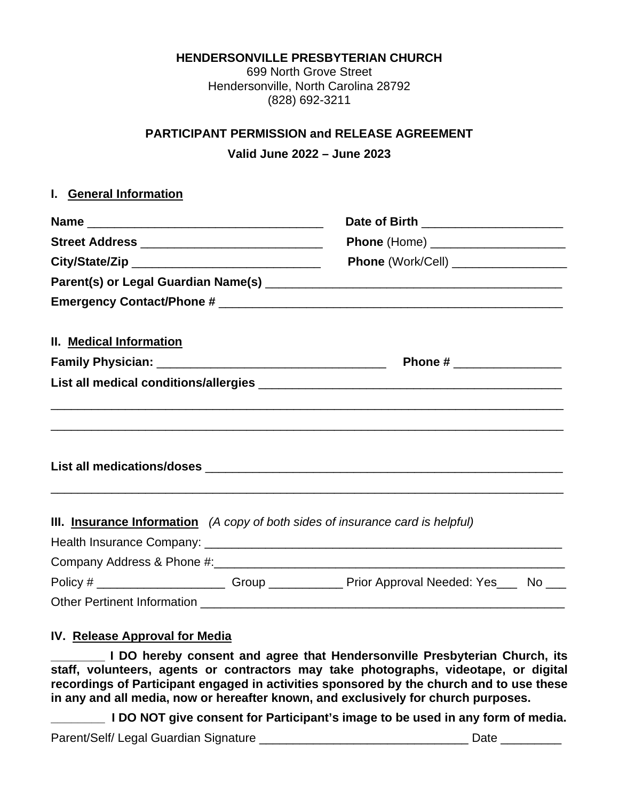**HENDERSONVILLE PRESBYTERIAN CHURCH**

699 North Grove Street Hendersonville, North Carolina 28792 (828) 692-3211

## **PARTICIPANT PERMISSION and RELEASE AGREEMENT**

**Valid June 2022 – June 2023**

## **I. General Information**

|                                                 | Date of Birth ______________________<br>Phone (Home) ______________________                 |  |  |
|-------------------------------------------------|---------------------------------------------------------------------------------------------|--|--|
| Street Address ________________________________ |                                                                                             |  |  |
|                                                 |                                                                                             |  |  |
|                                                 |                                                                                             |  |  |
|                                                 |                                                                                             |  |  |
| II. Medical Information                         |                                                                                             |  |  |
|                                                 | Phone # ___________________                                                                 |  |  |
|                                                 |                                                                                             |  |  |
|                                                 |                                                                                             |  |  |
|                                                 |                                                                                             |  |  |
|                                                 | III. Insurance Information (A copy of both sides of insurance card is helpful)              |  |  |
|                                                 |                                                                                             |  |  |
|                                                 | Policy # ________________________Group ______________Prior Approval Needed: Yes_____No ____ |  |  |
| <b>Other Pertinent Information</b>              |                                                                                             |  |  |

## **IV. Release Approval for Media**

**L DO hereby consent and agree that Hendersonville Presbyterian Church, its staff, volunteers, agents or contractors may take photographs, videotape, or digital recordings of Participant engaged in activities sponsored by the church and to use these in any and all media, now or hereafter known, and exclusively for church purposes.**

**\_\_\_\_\_\_\_\_ I DO NOT give consent for Participant's image to be used in any form of media.**

Parent/Self/ Legal Guardian Signature **Network of the Second Parential Contract Contract Contract Contract Contra**